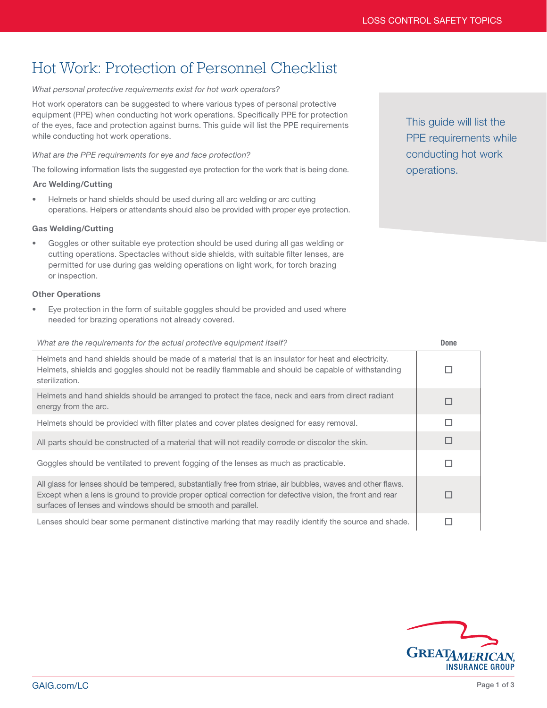# Hot Work: Protection of Personnel Checklist

## *What personal protective requirements exist for hot work operators?*

Hot work operators can be suggested to where various types of personal protective equipment (PPE) when conducting hot work operations. Specifically PPE for protection of the eyes, face and protection against burns. This guide will list the PPE requirements while conducting hot work operations.

#### *What are the PPE requirements for eye and face protection?*

The following information lists the suggested eye protection for the work that is being done.

### Arc Welding/Cutting

• Helmets or hand shields should be used during all arc welding or arc cutting operations. Helpers or attendants should also be provided with proper eye protection.

### Gas Welding/Cutting

• Goggles or other suitable eye protection should be used during all gas welding or cutting operations. Spectacles without side shields, with suitable filter lenses, are permitted for use during gas welding operations on light work, for torch brazing or inspection.

#### Other Operations

• Eye protection in the form of suitable goggles should be provided and used where needed for brazing operations not already covered.

# *What are the requirements for the actual protective equipment itself?* Done

| Helmets and hand shields should be made of a material that is an insulator for heat and electricity.<br>Helmets, shields and goggles should not be readily flammable and should be capable of withstanding<br>sterilization.                                                                |  |
|---------------------------------------------------------------------------------------------------------------------------------------------------------------------------------------------------------------------------------------------------------------------------------------------|--|
| Helmets and hand shields should be arranged to protect the face, neck and ears from direct radiant<br>energy from the arc.                                                                                                                                                                  |  |
| Helmets should be provided with filter plates and cover plates designed for easy removal.                                                                                                                                                                                                   |  |
| All parts should be constructed of a material that will not readily corrode or discolor the skin.                                                                                                                                                                                           |  |
| Goggles should be ventilated to prevent fogging of the lenses as much as practicable.                                                                                                                                                                                                       |  |
| All glass for lenses should be tempered, substantially free from striae, air bubbles, waves and other flaws.<br>Except when a lens is ground to provide proper optical correction for defective vision, the front and rear<br>surfaces of lenses and windows should be smooth and parallel. |  |
| Lenses should bear some permanent distinctive marking that may readily identify the source and shade.                                                                                                                                                                                       |  |



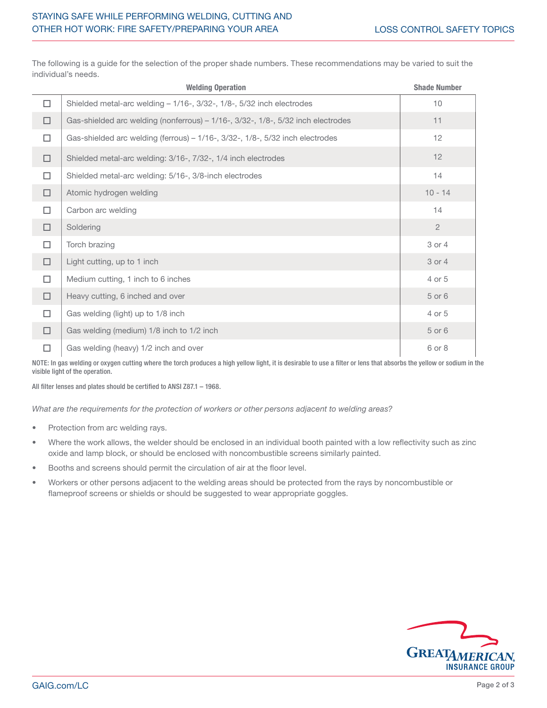|        | <b>Welding Operation</b>                                                         | <b>Shade Number</b> |
|--------|----------------------------------------------------------------------------------|---------------------|
| □      | Shielded metal-arc welding - 1/16-, 3/32-, 1/8-, 5/32 inch electrodes            | 10                  |
| $\Box$ | Gas-shielded arc welding (nonferrous) - 1/16-, 3/32-, 1/8-, 5/32 inch electrodes | 11                  |
| $\Box$ | Gas-shielded arc welding (ferrous) - 1/16-, 3/32-, 1/8-, 5/32 inch electrodes    | 12                  |
| $\Box$ | Shielded metal-arc welding: 3/16-, 7/32-, 1/4 inch electrodes                    | 12                  |
| □      | Shielded metal-arc welding: 5/16-, 3/8-inch electrodes                           | 14                  |
| $\Box$ | Atomic hydrogen welding                                                          | $10 - 14$           |
| □      | Carbon arc welding                                                               | 14                  |
| $\Box$ | Soldering                                                                        | $\overline{2}$      |
| п      | Torch brazing                                                                    | 3 or 4              |
| $\Box$ | Light cutting, up to 1 inch                                                      | 3 or 4              |
| □      | Medium cutting, 1 inch to 6 inches                                               | 4 or 5              |
| $\Box$ | Heavy cutting, 6 inched and over                                                 | 5 or 6              |
| □      | Gas welding (light) up to 1/8 inch                                               | 4 or 5              |
| □      | Gas welding (medium) 1/8 inch to 1/2 inch                                        | 5 or 6              |
| □      | Gas welding (heavy) 1/2 inch and over                                            | 6 or 8              |

The following is a guide for the selection of the proper shade numbers. These recommendations may be varied to suit the individual's needs.

NOTE: In gas welding or oxygen cutting where the torch produces a high yellow light, it is desirable to use a filter or lens that absorbs the yellow or sodium in the visible light of the operation.

All filter lenses and plates should be certified to ANSI Z87.1 – 1968.

*What are the requirements for the protection of workers or other persons adjacent to welding areas?*

- Protection from arc welding rays.
- Where the work allows, the welder should be enclosed in an individual booth painted with a low reflectivity such as zinc oxide and lamp block, or should be enclosed with noncombustible screens similarly painted.
- Booths and screens should permit the circulation of air at the floor level.
- Workers or other persons adjacent to the welding areas should be protected from the rays by noncombustible or flameproof screens or shields or should be suggested to wear appropriate goggles.